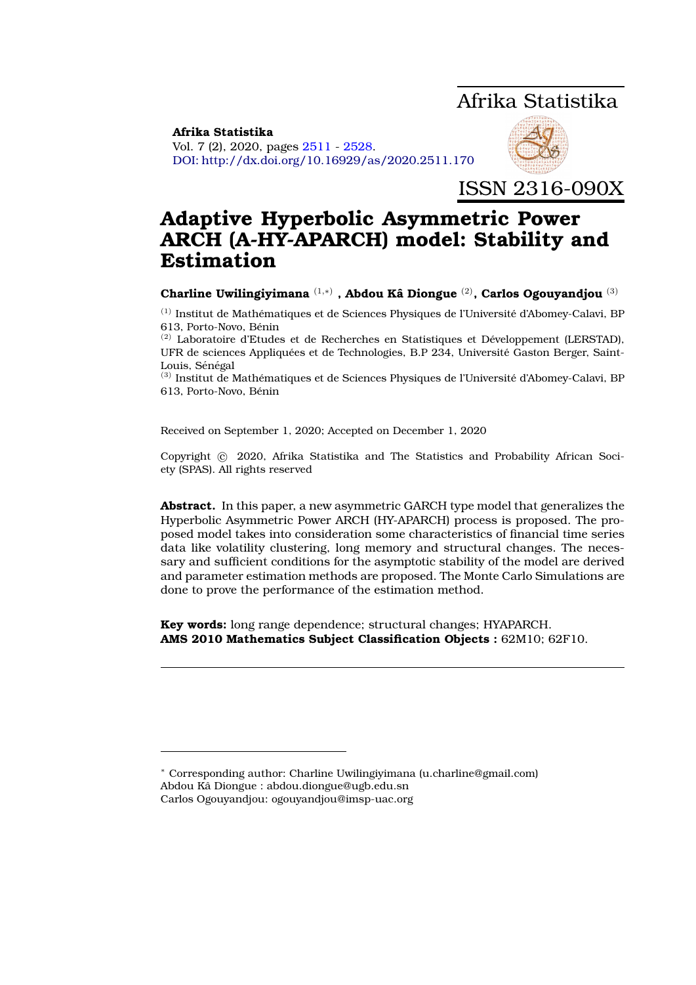# Afrika Statistika

<span id="page-0-0"></span>**Afrika Statistika** Vol. 7 (2), 2020, pages [2511](#page-0-0) - [2528.](#page-16-0) DOI: http://dx.doi.org/10.16929/as/2020.2511.170



ISSN 2316-090X

# **Adaptive Hyperbolic Asymmetric Power ARCH (A-HY-APARCH) model: Stability and Estimation**

**Charline Uwilingiyimana** (1,∗) **, Abdou Ka Diongue ˆ** (2)**, Carlos Ogouyandjou** (3)

 $(1)$  Institut de Mathématiques et de Sciences Physiques de l'Université d'Abomey-Calavi, BP 613, Porto-Novo, Bénin

 $(2)$  Laboratoire d'Etudes et de Recherches en Statistiques et Développement (LERSTAD), UFR de sciences Appliquées et de Technologies, B.P 234, Université Gaston Berger, Saint-Louis, Sénégal

 $<sup>(3)</sup>$  Institut de Mathématiques et de Sciences Physiques de l'Université d'Abomey-Calavi, BP</sup> 613, Porto-Novo, Bénin

Received on September 1, 2020; Accepted on December 1, 2020

Copyright © 2020, Afrika Statistika and The Statistics and Probability African Society (SPAS). All rights reserved

**Abstract.** In this paper, a new asymmetric GARCH type model that generalizes the Hyperbolic Asymmetric Power ARCH (HY-APARCH) process is proposed. The proposed model takes into consideration some characteristics of financial time series data like volatility clustering, long memory and structural changes. The necessary and sufficient conditions for the asymptotic stability of the model are derived and parameter estimation methods are proposed. The Monte Carlo Simulations are done to prove the performance of the estimation method.

**Key words:** long range dependence; structural changes; HYAPARCH. **AMS 2010 Mathematics Subject Classification Objects :** 62M10; 62F10.

<sup>∗</sup> Corresponding author: Charline Uwilingiyimana (u.charline@gmail.com) Abdou Ka Diongue : abdou.diongue@ugb.edu.sn ˆ Carlos Ogouyandjou: ogouyandjou@imsp-uac.org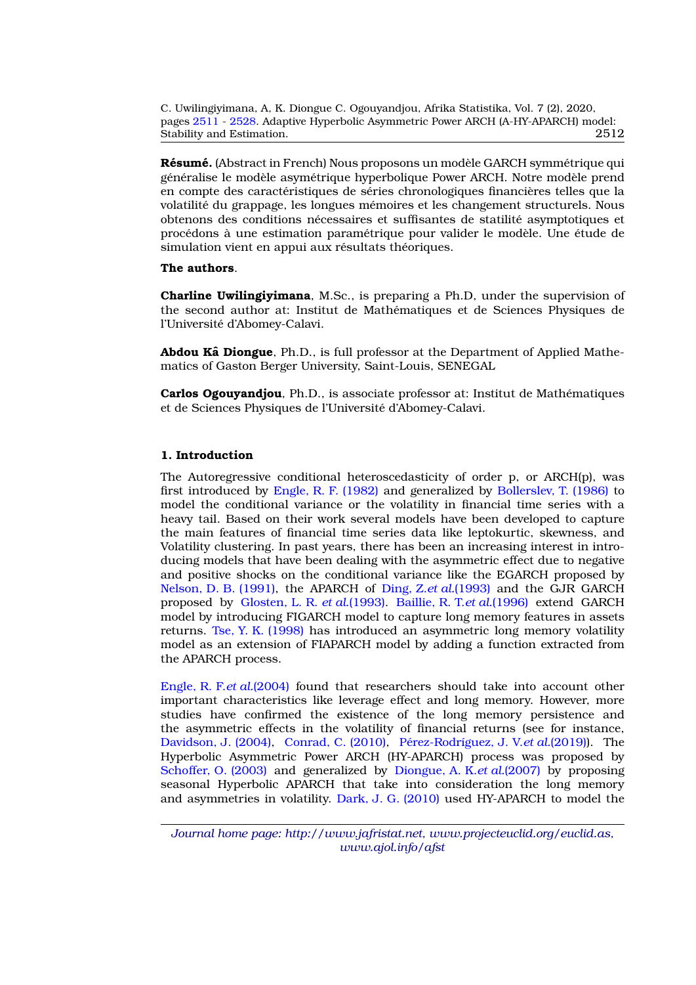**Résumé.** (Abstract in French) Nous proposons un modèle GARCH symmétrique qui généralise le modèle asymétrique hyperbolique Power ARCH. Notre modèle prend en compte des caractéristiques de séries chronologiques financières telles que la volatilité du grappage, les longues mémoires et les changement structurels. Nous obtenons des conditions nécessaires et suffisantes de statilité asymptotiques et procédons à une estimation paramétrique pour valider le modèle. Une étude de simulation vient en appui aux résultats théoriques.

#### **The authors**.

**Charline Uwilingiyimana**, M.Sc., is preparing a Ph.D, under the supervision of the second author at: Institut de Mathematiques et de Sciences Physiques de ´ l'Universite d'Abomey-Calavi. ´

**Abdou Ka Diongue**, Ph.D., is full professor at the Department of Applied Mathematics of Gaston Berger University, Saint-Louis, SENEGAL

**Carlos Ogouyandjou**, Ph.D., is associate professor at: Institut de Mathématiques et de Sciences Physiques de l'Universite d'Abomey-Calavi. ´

## **1. Introduction**

The Autoregressive conditional heteroscedasticity of order p, or ARCH(p), was first introduced by [Engle, R. F. \(1982\)](#page-16-1) and generalized by [Bollerslev, T. \(1986\)](#page-16-2) to model the conditional variance or the volatility in financial time series with a heavy tail. Based on their work several models have been developed to capture the main features of financial time series data like leptokurtic, skewness, and Volatility clustering. In past years, there has been an increasing interest in introducing models that have been dealing with the asymmetric effect due to negative and positive shocks on the conditional variance like the EGARCH proposed by [Nelson, D. B. \(1991\),](#page-17-0) the APARCH of [Ding, Z.](#page-16-3)*et al.*(1993) and the GJR GARCH proposed by [Glosten, L. R.](#page-17-1) *et al.*(1993). [Baillie, R. T.](#page-16-4)*et al.*(1996) extend GARCH model by introducing FIGARCH model to capture long memory features in assets returns. [Tse, Y. K. \(1998\)](#page-17-2) has introduced an asymmetric long memory volatility model as an extension of FIAPARCH model by adding a function extracted from the APARCH process.

[Engle, R. F.](#page-17-3)*et al.*(2004) found that researchers should take into account other important characteristics like leverage effect and long memory. However, more studies have confirmed the existence of the long memory persistence and the asymmetric effects in the volatility of financial returns (see for instance, [Davidson, J. \(2004\),](#page-16-5) [Conrad, C. \(2010\),](#page-16-6) Pérez-Rodríguez, J. V. et al. (2019)). The Hyperbolic Asymmetric Power ARCH (HY-APARCH) process was proposed by [Schoffer, O. \(2003\)](#page-17-5) and generalized by [Diongue, A. K.](#page-16-7)*et al.*(2007) by proposing seasonal Hyperbolic APARCH that take into consideration the long memory and asymmetries in volatility. [Dark, J. G. \(2010\)](#page-16-8) used HY-APARCH to model the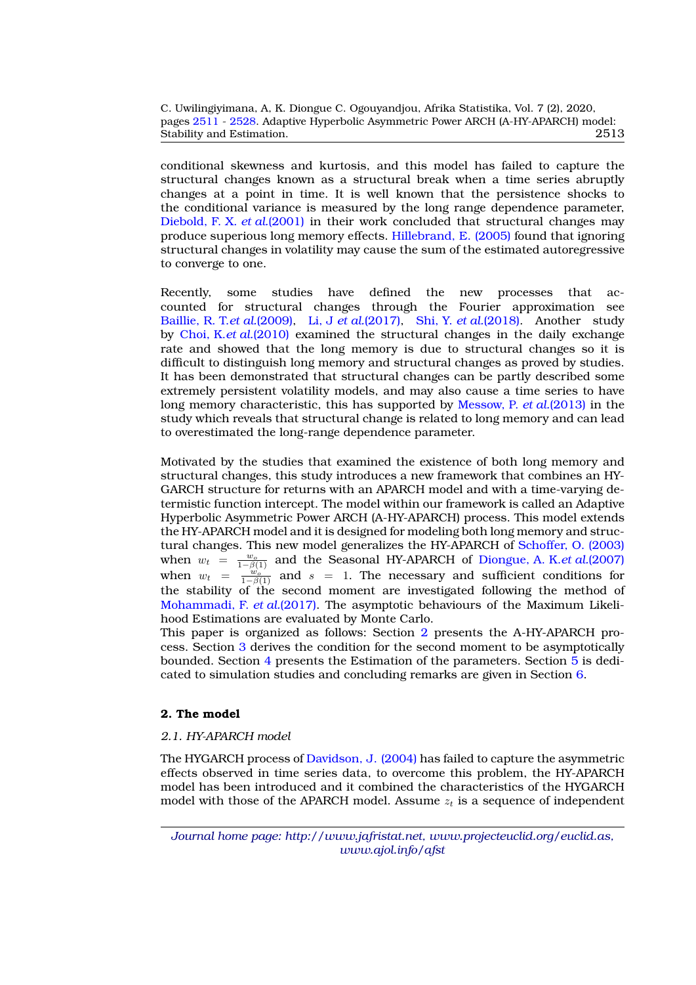conditional skewness and kurtosis, and this model has failed to capture the structural changes known as a structural break when a time series abruptly changes at a point in time. It is well known that the persistence shocks to the conditional variance is measured by the long range dependence parameter, [Diebold, F. X.](#page-16-9) *et al.*(2001) in their work concluded that structural changes may produce superious long memory effects. [Hillebrand, E. \(2005\)](#page-17-6) found that ignoring structural changes in volatility may cause the sum of the estimated autoregressive to converge to one.

Recently, some studies have defined the new processes that accounted for structural changes through the Fourier approximation see [Baillie, R. T.](#page-16-10)*et al.*(2009), Li, J *et al.*[\(2017\),](#page-17-7) Shi, Y. *et al.*[\(2018\).](#page-17-8) Another study by [Choi, K.](#page-16-11)*et al.*(2010) examined the structural changes in the daily exchange rate and showed that the long memory is due to structural changes so it is difficult to distinguish long memory and structural changes as proved by studies. It has been demonstrated that structural changes can be partly described some extremely persistent volatility models, and may also cause a time series to have long memory characteristic, this has supported by [Messow, P.](#page-17-9) *et al.*(2013) in the study which reveals that structural change is related to long memory and can lead to overestimated the long-range dependence parameter.

Motivated by the studies that examined the existence of both long memory and structural changes, this study introduces a new framework that combines an HY-GARCH structure for returns with an APARCH model and with a time-varying determistic function intercept. The model within our framework is called an Adaptive Hyperbolic Asymmetric Power ARCH (A-HY-APARCH) process. This model extends the HY-APARCH model and it is designed for modeling both long memory and structural changes. This new model generalizes the HY-APARCH of [Schoffer, O. \(2003\)](#page-17-5) when  $w_t = \frac{w_o}{1-\beta(1)}$  and the Seasonal HY-APARCH of [Diongue, A. K.](#page-16-7)*et al.*(2007) when  $w_t = \frac{w_o}{1-\beta(1)}$  and  $s = 1$ . The necessary and sufficient conditions for the stability of the second moment are investigated following the method of [Mohammadi, F.](#page-17-10) *et al.*(2017). The asymptotic behaviours of the Maximum Likelihood Estimations are evaluated by Monte Carlo.

This paper is organized as follows: Section [2](#page-2-0) presents the A-HY-APARCH process. Section [3](#page-5-0) derives the condition for the second moment to be asymptotically bounded. Section [4](#page-11-0) presents the Estimation of the parameters. Section [5](#page-11-1) is dedicated to simulation studies and concluding remarks are given in Section [6.](#page-15-0)

## <span id="page-2-0"></span>**2. The model**

## *2.1. HY-APARCH model*

The HYGARCH process of [Davidson, J. \(2004\)](#page-16-5) has failed to capture the asymmetric effects observed in time series data, to overcome this problem, the HY-APARCH model has been introduced and it combined the characteristics of the HYGARCH model with those of the APARCH model. Assume  $z_t$  is a sequence of independent

*Journal home page: http://www.jafristat.net, www.projecteuclid.org/euclid.as, www.ajol.info/afst*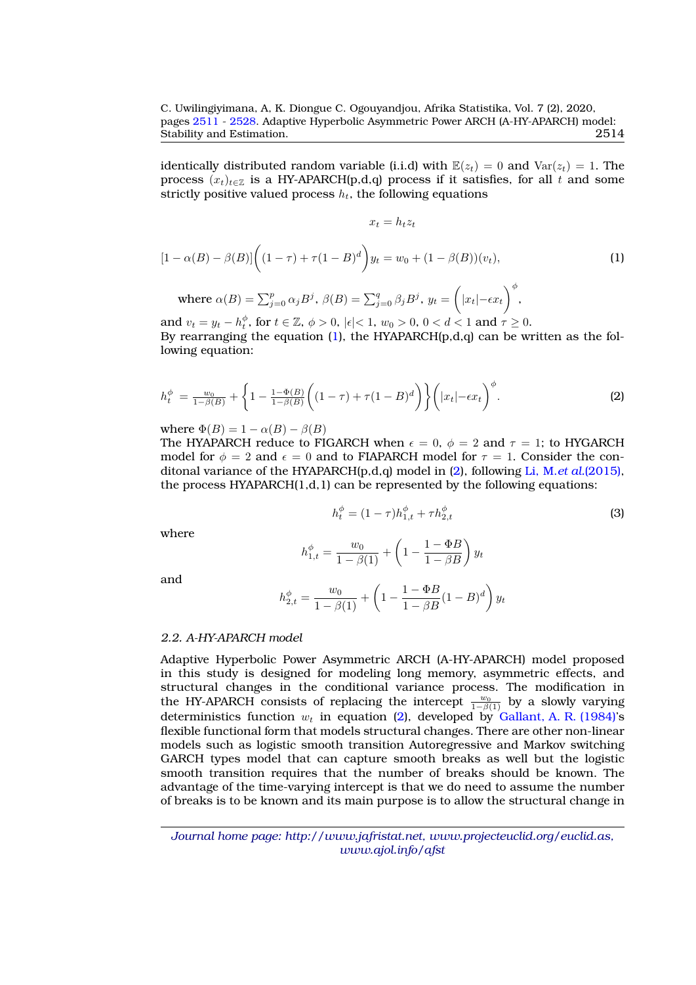identically distributed random variable (i.i.d) with  $\mathbb{E}(z_t) = 0$  and  $\text{Var}(z_t) = 1$ . The process  $(x_t)_{t\in\mathbb{Z}}$  is a HY-APARCH(p,d,q) process if it satisfies, for all t and some strictly positive valued process  $h_t$ , the following equations

$$
x_t = h_t z_t
$$

<span id="page-3-0"></span>
$$
[1 - \alpha(B) - \beta(B)] \left( (1 - \tau) + \tau (1 - B)^d \right) y_t = w_0 + (1 - \beta(B))(v_t),
$$
  
where  $\alpha(B) = \sum_{j=0}^p \alpha_j B^j$ ,  $\beta(B) = \sum_{j=0}^q \beta_j B^j$ ,  $y_t = \left( |x_t| - \epsilon x_t \right)^{\phi}$ , (1)

and  $v_t = y_t - h_t^{\phi}$ , for  $t \in \mathbb{Z}$ ,  $\phi > 0$ ,  $|\epsilon| < 1$ ,  $w_0 > 0$ ,  $0 < d < 1$  and  $\tau \ge 0$ . By rearranging the equation  $(1)$ , the HYAPARCH $(p,d,q)$  can be written as the following equation:

<span id="page-3-1"></span>
$$
h_t^{\phi} = \frac{w_0}{1 - \beta(B)} + \left\{ 1 - \frac{1 - \Phi(B)}{1 - \beta(B)} \left( (1 - \tau) + \tau (1 - B)^d \right) \right\} \left( |x_t| - \epsilon x_t \right)^{\phi}.
$$
 (2)

where  $\Phi(B) = 1 - \alpha(B) - \beta(B)$ 

The HYAPARCH reduce to FIGARCH when  $\epsilon = 0$ ,  $\phi = 2$  and  $\tau = 1$ ; to HYGARCH model for  $\phi = 2$  and  $\epsilon = 0$  and to FIAPARCH model for  $\tau = 1$ . Consider the conditonal variance of the HYAPARCH(p,d,q) model in [\(2\)](#page-3-1), following Li, M.*et al.*[\(2015\),](#page-17-11) the process  $HYAPARCH(1,d,1)$  can be represented by the following equations:

<span id="page-3-2"></span>
$$
h_t^{\phi} = (1 - \tau)h_{1,t}^{\phi} + \tau h_{2,t}^{\phi}
$$
 (3)

where

$$
h_{1,t}^{\phi} = \frac{w_0}{1 - \beta(1)} + \left(1 - \frac{1 - \Phi B}{1 - \beta B}\right)y_t
$$

and

$$
h_{2,t}^{\phi} = \frac{w_0}{1 - \beta(1)} + \left(1 - \frac{1 - \Phi B}{1 - \beta B}(1 - B)^d\right)y_t
$$

## *2.2. A-HY-APARCH model*

Adaptive Hyperbolic Power Asymmetric ARCH (A-HY-APARCH) model proposed in this study is designed for modeling long memory, asymmetric effects, and structural changes in the conditional variance process. The modification in the HY-APARCH consists of replacing the intercept  $\frac{w_0}{1-\beta(1)}$  by a slowly varying deterministics function  $w_t$  in equation [\(2\)](#page-3-1), developed by [Gallant, A. R. \(1984\)'](#page-17-12)s flexible functional form that models structural changes. There are other non-linear models such as logistic smooth transition Autoregressive and Markov switching GARCH types model that can capture smooth breaks as well but the logistic smooth transition requires that the number of breaks should be known. The advantage of the time-varying intercept is that we do need to assume the number of breaks is to be known and its main purpose is to allow the structural change in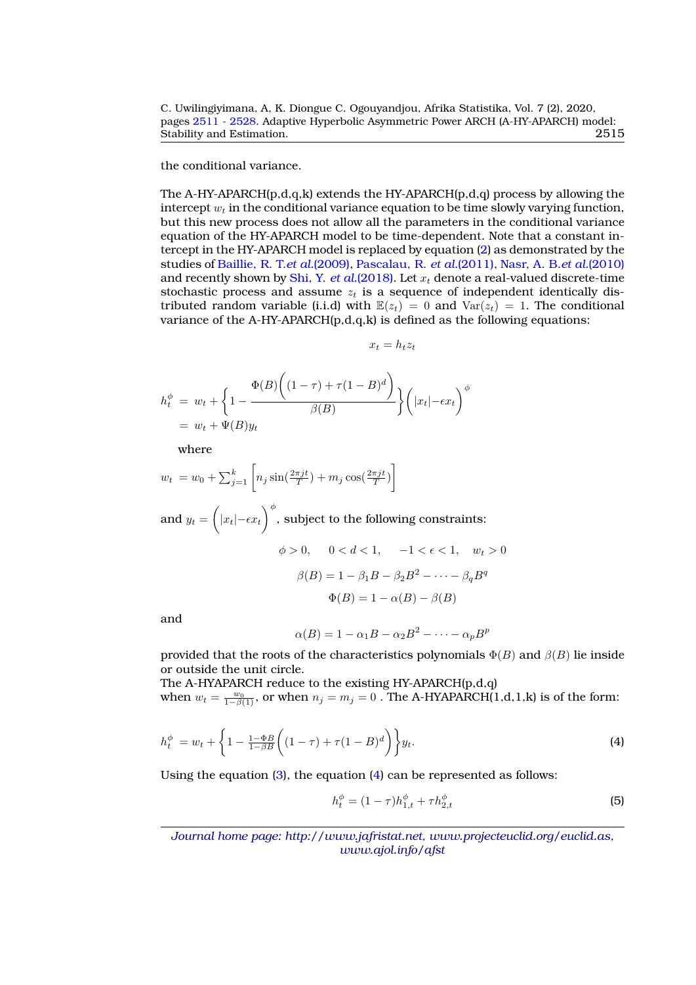the conditional variance.

The A-HY-APARCH $(p,d,q,k)$  extends the HY-APARCH $(p,d,q)$  process by allowing the intercept  $w_t$  in the conditional variance equation to be time slowly varying function, but this new process does not allow all the parameters in the conditional variance equation of the HY-APARCH model to be time-dependent. Note that a constant intercept in the HY-APARCH model is replaced by equation [\(2\)](#page-3-1) as demonstrated by the studies of [Baillie, R. T.](#page-16-10)*et al.*(2009), [Pascalau, R.](#page-17-13) *et al.*(2011), [Nasr, A. B.](#page-17-14)*et al.*(2010) and recently shown by Shi, Y. *et al.*[\(2018\).](#page-17-8) Let  $x_t$  denote a real-valued discrete-time stochastic process and assume  $z_t$  is a sequence of independent identically distributed random variable (i.i.d) with  $\mathbb{E}(z_t) = 0$  and  $\text{Var}(z_t) = 1$ . The conditional variance of the A-HY-APARCH(p,d,q,k) is defined as the following equations:

 $x_t = h_t z_t$ 

$$
h_t^{\phi} = w_t + \left\{ 1 - \frac{\Phi(B) \left( (1 - \tau) + \tau (1 - B)^d \right)}{\beta(B)} \right\} \left( |x_t| - \epsilon x_t \right)^{\phi}
$$
  
=  $w_t + \Psi(B) y_t$ 

where

$$
w_t = w_0 + \sum_{j=1}^k \left[ n_j \sin(\frac{2\pi j t}{T}) + m_j \cos(\frac{2\pi j t}{T}) \right]
$$
  
and 
$$
y_t = \left( |x_t| - \epsilon x_t \right)^{\phi}
$$
, subject to the following constraints:  

$$
\phi > 0, \quad 0 < d < 1, \quad -1 < \epsilon < 1, \quad w_t > 0
$$

$$
\beta(B) = 1 - \beta_1 B - \beta_2 B^2 - \dots - \beta_q B^q
$$

and

$$
\alpha(B) = 1 - \alpha_1 B - \alpha_2 B^2 - \dots - \alpha_p B^p
$$

 $\Phi(B) = 1 - \alpha(B) - \beta(B)$ 

provided that the roots of the characteristics polynomials  $\Phi(B)$  and  $\beta(B)$  lie inside or outside the unit circle.

The A-HYAPARCH reduce to the existing HY-APARCH(p,d,q) when  $w_t = \frac{w_0}{1-\beta(1)}$ , or when  $n_j = m_j = 0$  . The A-HYAPARCH(1,d,1,k) is of the form:

<span id="page-4-0"></span>
$$
h_t^{\phi} = w_t + \left\{ 1 - \frac{1 - \Phi B}{1 - \beta B} \left( (1 - \tau) + \tau (1 - B)^d \right) \right\} y_t.
$$
 (4)

Using the equation  $(3)$ , the equation  $(4)$  can be represented as follows:

<span id="page-4-1"></span>
$$
h_t^{\phi} = (1 - \tau)h_{1,t}^{\phi} + \tau h_{2,t}^{\phi}
$$
 (5)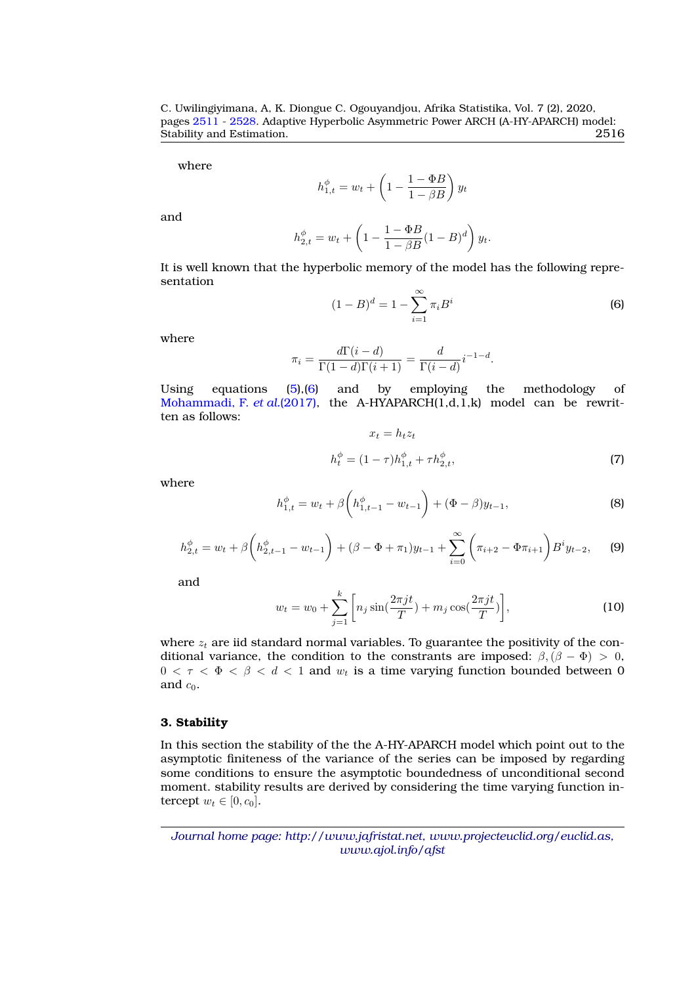where

$$
h_{1,t}^{\phi} = w_t + \left(1 - \frac{1 - \Phi B}{1 - \beta B}\right) y_t
$$

and

$$
h_{2,t}^{\phi} = w_t + \left(1 - \frac{1 - \Phi B}{1 - \beta B} (1 - B)^d\right) y_t.
$$

It is well known that the hyperbolic memory of the model has the following representation

<span id="page-5-1"></span>
$$
(1 - B)^d = 1 - \sum_{i=1}^{\infty} \pi_i B^i
$$
 (6)

where

$$
\pi_i = \frac{d\Gamma(i-d)}{\Gamma(1-d)\Gamma(i+1)} = \frac{d}{\Gamma(i-d)}i^{-1-d}.
$$

Using equations [\(5\)](#page-4-1),[\(6\)](#page-5-1) and by employing the methodology of [Mohammadi, F.](#page-17-10) *et al.*(2017), the A-HYAPARCH(1,d,1,k) model can be rewritten as follows:

<span id="page-5-5"></span>
$$
x_t = h_t z_t
$$

$$
h_t^{\phi} = (1 - \tau)h_{1,t}^{\phi} + \tau h_{2,t}^{\phi},
$$

$$
\tag{7}
$$

where

<span id="page-5-2"></span>
$$
h_{1,t}^{\phi} = w_t + \beta \left( h_{1,t-1}^{\phi} - w_{t-1} \right) + (\Phi - \beta) y_{t-1},
$$
\n(8)

<span id="page-5-3"></span>
$$
h_{2,t}^{\phi} = w_t + \beta \left( h_{2,t-1}^{\phi} - w_{t-1} \right) + (\beta - \Phi + \pi_1) y_{t-1} + \sum_{i=0}^{\infty} \left( \pi_{i+2} - \Phi \pi_{i+1} \right) B^i y_{t-2}, \tag{9}
$$

and

<span id="page-5-4"></span>
$$
w_t = w_0 + \sum_{j=1}^k \left[ n_j \sin(\frac{2\pi j t}{T}) + m_j \cos(\frac{2\pi j t}{T}) \right],
$$
 (10)

where  $z_t$  are iid standard normal variables. To guarantee the positivity of the conditional variance, the condition to the constrants are imposed:  $\beta$ ,  $(\beta - \Phi) > 0$ ,  $0 < \tau < \Phi < \beta < d < 1$  and  $w_t$  is a time varying function bounded between 0 and  $c_0$ .

#### <span id="page-5-0"></span>**3. Stability**

<span id="page-5-6"></span>In this section the stability of the the A-HY-APARCH model which point out to the asymptotic finiteness of the variance of the series can be imposed by regarding some conditions to ensure the asymptotic boundedness of unconditional second moment. stability results are derived by considering the time varying function intercept  $w_t \in [0, c_0]$ .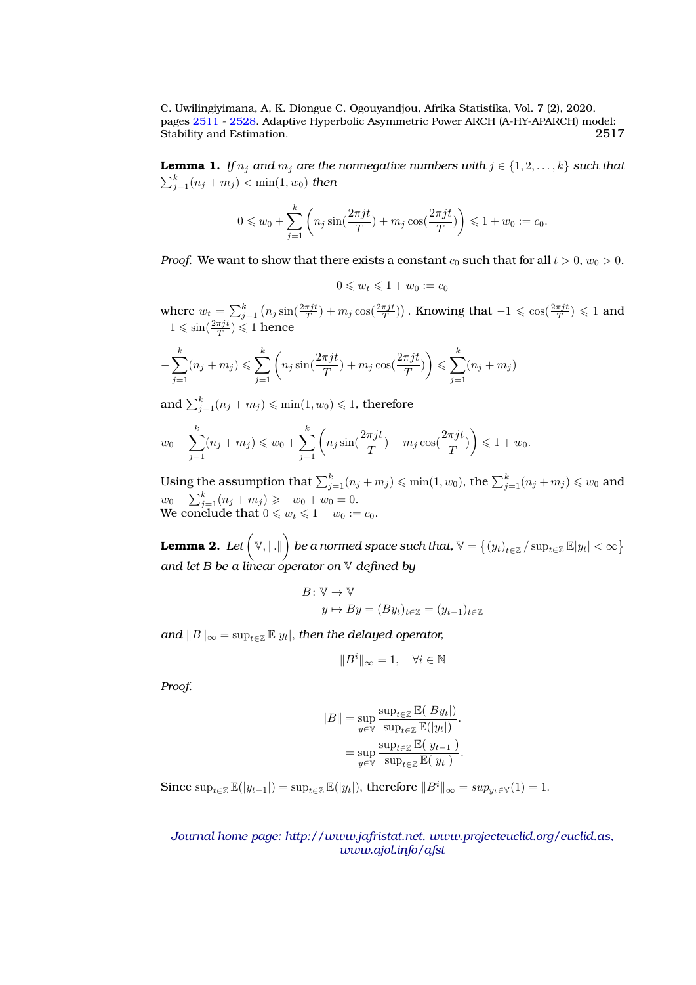**Lemma 1.** *If*  $n_j$  *and*  $m_j$  *are the nonnegative numbers with*  $j \in \{1, 2, ..., k\}$  *such that*  $\sum_{j=1}^k (n_j + m_j) < \min(1, w_0)$  *then* 

$$
0 \leq w_0 + \sum_{j=1}^k \left( n_j \sin(\frac{2\pi j t}{T}) + m_j \cos(\frac{2\pi j t}{T}) \right) \leq 1 + w_0 := c_0.
$$

*Proof.* We want to show that there exists a constant  $c_0$  such that for all  $t > 0$ ,  $w_0 > 0$ ,

$$
0 \leqslant w_t \leqslant 1 + w_0 := c_0
$$

where  $w_t = \sum_{j=1}^k \left(n_j \sin(\frac{2\pi jt}{T}) + m_j \cos(\frac{2\pi jt}{T})\right)$ . Knowing that  $-1 \leqslant \cos(\frac{2\pi jt}{T}) \leqslant 1$  and  $-1 \leqslant \sin(\frac{2\pi j t}{T}) \leqslant 1$  hence

$$
-\sum_{j=1}^{k} (n_j + m_j) \le \sum_{j=1}^{k} \left( n_j \sin(\frac{2\pi j t}{T}) + m_j \cos(\frac{2\pi j t}{T}) \right) \le \sum_{j=1}^{k} (n_j + m_j)
$$

and  $\sum_{j=1}^k (n_j + m_j) \leqslant \min(1, w_0) \leqslant 1,$  therefore

$$
w_0 - \sum_{j=1}^k (n_j + m_j) \leq w_0 + \sum_{j=1}^k \left( n_j \sin(\frac{2\pi j t}{T}) + m_j \cos(\frac{2\pi j t}{T}) \right) \leq 1 + w_0.
$$

Using the assumption that  $\sum_{j=1}^k (n_j + m_j) \leqslant \min(1, w_0)$ , the  $\sum_{j=1}^k (n_j + m_j) \leqslant w_0$  and  $w_0 - \sum_{j=1}^k (n_j + m_j) \geq -w_0 + w_0 = 0.$ We conclude that  $0 \leqslant w_t \leqslant 1 + w_0 := c_0$ .

<span id="page-6-0"></span>Lemma 2. Let  $\Big(\mathbb{V},\|.\| \Big)$  be a normed space such that,  $\mathbb{V}=\big\{(y_t)_{t\in\mathbb{Z}}/\sup_{t\in\mathbb{Z}}\mathbb{E}|y_t|<\infty\big\}$ *and let B be a linear operator on* V *defined by*

$$
B: \mathbb{V} \to \mathbb{V}
$$
  

$$
y \mapsto By = (By_t)_{t \in \mathbb{Z}} = (y_{t-1})_{t \in \mathbb{Z}}
$$

*and*  $||B||_{\infty} = \sup_{t \in \mathbb{Z}} \mathbb{E}|y_t|$ , *then the delayed operator,* 

$$
\|B^i\|_\infty=1,\quad \forall i\in\mathbb{N}
$$

*Proof.*

$$
||B|| = \sup_{y \in \mathbb{V}} \frac{\sup_{t \in \mathbb{Z}} \mathbb{E}(|By_t|)}{\sup_{t \in \mathbb{Z}} \mathbb{E}(|y_t|)}.
$$
  
= 
$$
\sup_{y \in \mathbb{V}} \frac{\sup_{t \in \mathbb{Z}} \mathbb{E}(|y_t|)}{\sup_{t \in \mathbb{Z}} \mathbb{E}(|y_t|)}.
$$

Since  $\sup_{t\in\mathbb{Z}} \mathbb{E}(|y_{t-1}|) = \sup_{t\in\mathbb{Z}} \mathbb{E}(|y_t|)$ , therefore  $||B^i||_{\infty} = sup_{y_t\in\mathbb{V}}(1) = 1$ .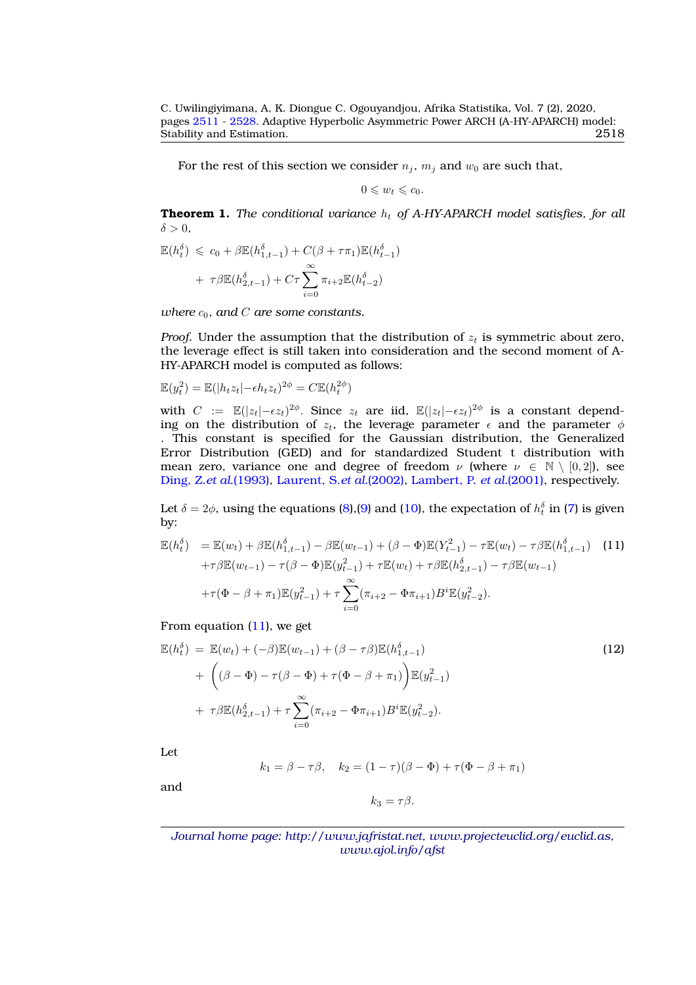For the rest of this section we consider  $n_j$ ,  $m_j$  and  $w_0$  are such that,

$$
0\leqslant w_t\leqslant c_0.
$$

**Theorem 1.** *The conditional variance*  $h_t$  of A-HY-APARCH model satisfies, for all  $\delta > 0$ ,

$$
\mathbb{E}(h_t^{\delta}) \leq c_0 + \beta \mathbb{E}(h_{1,t-1}^{\delta}) + C(\beta + \tau \pi_1) \mathbb{E}(h_{t-1}^{\delta})
$$

$$
+ \tau \beta \mathbb{E}(h_{2,t-1}^{\delta}) + C\tau \sum_{i=0}^{\infty} \pi_{i+2} \mathbb{E}(h_{t-2}^{\delta})
$$

*where*  $c_0$ *, and C are* some constants.

*Proof.* Under the assumption that the distribution of  $z_t$  is symmetric about zero, the leverage effect is still taken into consideration and the second moment of A-HY-APARCH model is computed as follows:

$$
\mathbb{E}(y_t^2) = \mathbb{E}(|h_t z_t| - \epsilon h_t z_t)^{2\phi} = C \mathbb{E}(h_t^{2\phi})
$$

with  $C := \mathbb{E}(|z_t| - \epsilon z_t)^{2\phi}$ . Since  $z_t$  are iid,  $\mathbb{E}(|z_t| - \epsilon z_t)^{2\phi}$  is a constant depending on the distribution of  $z_t$ , the leverage parameter  $\epsilon$  and the parameter  $\phi$ . This constant is specified for the Gaussian distribution, the Generalized Error Distribution (GED) and for standardized Student t distribution with mean zero, variance one and degree of freedom  $\nu$  (where  $\nu \in \mathbb{N} \setminus [0,2]$ ), see [Ding, Z.](#page-16-3)*et al.*(1993), [Laurent, S.](#page-17-15)*et al.*(2002), [Lambert, P.](#page-17-16) *et al.*(2001), respectively.

Let  $\delta = 2\phi$ , using the equations [\(8\)](#page-5-2),[\(9\)](#page-5-3) and [\(10\)](#page-5-4), the expectation of  $h_t^{\delta}$  in [\(7\)](#page-5-5) is given by:

<span id="page-7-0"></span>
$$
\mathbb{E}(h_t^{\delta}) = \mathbb{E}(w_t) + \beta \mathbb{E}(h_{1,t-1}^{\delta}) - \beta \mathbb{E}(w_{t-1}) + (\beta - \Phi)\mathbb{E}(Y_{t-1}^2) - \tau \mathbb{E}(w_t) - \tau \beta \mathbb{E}(h_{1,t-1}^{\delta}) \quad (11)
$$
  
+ $\tau \beta \mathbb{E}(w_{t-1}) - \tau(\beta - \Phi)\mathbb{E}(y_{t-1}^2) + \tau \mathbb{E}(w_t) + \tau \beta \mathbb{E}(h_{2,t-1}^{\delta}) - \tau \beta \mathbb{E}(w_{t-1})$   
+ $\tau(\Phi - \beta + \pi_1)\mathbb{E}(y_{t-1}^2) + \tau \sum_{i=0}^{\infty} (\pi_{i+2} - \Phi \pi_{i+1}) B^i \mathbb{E}(y_{t-2}^2).$ 

From equation  $(11)$ , we get

<span id="page-7-1"></span>
$$
\mathbb{E}(h_t^{\delta}) = \mathbb{E}(w_t) + (-\beta)\mathbb{E}(w_{t-1}) + (\beta - \tau\beta)\mathbb{E}(h_{1,t-1}^{\delta}) \n+ \left((\beta - \Phi) - \tau(\beta - \Phi) + \tau(\Phi - \beta + \pi_1)\right)\mathbb{E}(y_{t-1}^2) \n+ \tau\beta\mathbb{E}(h_{2,t-1}^{\delta}) + \tau\sum_{i=0}^{\infty}(\pi_{i+2} - \Phi\pi_{i+1})B^i\mathbb{E}(y_{t-2}^2).
$$
\n(12)

Let

$$
k_1 = \beta - \tau \beta
$$
,  $k_2 = (1 - \tau)(\beta - \Phi) + \tau(\Phi - \beta + \pi_1)$ 

and

$$
k_3=\tau\beta.
$$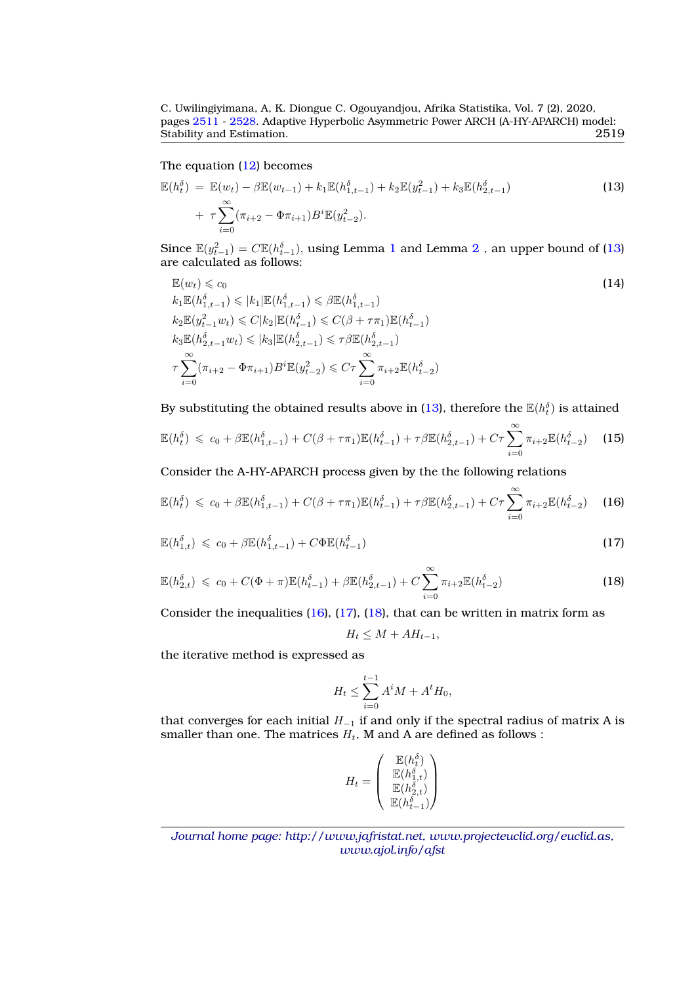C. Uwilingiyimana, A, K. Diongue C. Ogouyandjou, Afrika Statistika, Vol. 7 (2), 2020, pages [2511](#page-0-0) - [2528.](#page-16-0) Adaptive Hyperbolic Asymmetric Power ARCH (A-HY-APARCH) model:<br>Stability and Estimation. 2519 Stability and Estimation.

# The equation [\(12\)](#page-7-1) becomes

<span id="page-8-0"></span>
$$
\mathbb{E}(h_t^{\delta}) = \mathbb{E}(w_t) - \beta \mathbb{E}(w_{t-1}) + k_1 \mathbb{E}(h_{1,t-1}^{\delta}) + k_2 \mathbb{E}(y_{t-1}^2) + k_3 \mathbb{E}(h_{2,t-1}^{\delta}) + \tau \sum_{i=0}^{\infty} (\pi_{i+2} - \Phi \pi_{i+1}) B^i \mathbb{E}(y_{t-2}^2).
$$
\n(13)

Since  $\mathbb{E}(y_{t-1}^2) = C \mathbb{E}(h_{t-1}^{\delta}),$  $\mathbb{E}(y_{t-1}^2) = C \mathbb{E}(h_{t-1}^{\delta}),$  $\mathbb{E}(y_{t-1}^2) = C \mathbb{E}(h_{t-1}^{\delta}),$  $\mathbb{E}(y_{t-1}^2) = C \mathbb{E}(h_{t-1}^{\delta}),$  $\mathbb{E}(y_{t-1}^2) = C \mathbb{E}(h_{t-1}^{\delta}),$  using Lemma 1 and Lemma  $2$  , an upper bound of [\(13\)](#page-8-0) are calculated as follows:

$$
\mathbb{E}(w_t) \leq c_0
$$
\n
$$
k_1 \mathbb{E}(h_{1,t-1}^{\delta}) \leqslant |k_1| \mathbb{E}(h_{1,t-1}^{\delta}) \leqslant \beta \mathbb{E}(h_{1,t-1}^{\delta})
$$
\n
$$
k_2 \mathbb{E}(y_{t-1}^2 w_t) \leqslant C|k_2| \mathbb{E}(h_{t-1}^{\delta}) \leqslant C(\beta + \tau \pi_1) \mathbb{E}(h_{t-1}^{\delta})
$$
\n
$$
k_3 \mathbb{E}(h_{2,t-1}^{\delta} w_t) \leqslant |k_3| \mathbb{E}(h_{2,t-1}^{\delta}) \leqslant \tau \beta \mathbb{E}(h_{2,t-1}^{\delta})
$$
\n
$$
\tau \sum_{i=0}^{\infty} (\pi_{i+2} - \Phi \pi_{i+1}) B^i \mathbb{E}(y_{t-2}^2) \leqslant C\tau \sum_{i=0}^{\infty} \pi_{i+2} \mathbb{E}(h_{t-2}^{\delta})
$$
\n(14)

By substituting the obtained results above in [\(13\)](#page-8-0), therefore the  $\mathbb{E}(h^{\delta}_{t})$  is attained

$$
\mathbb{E}(h_t^{\delta}) \leq c_0 + \beta \mathbb{E}(h_{1,t-1}^{\delta}) + C(\beta + \tau \pi_1) \mathbb{E}(h_{t-1}^{\delta}) + \tau \beta \mathbb{E}(h_{2,t-1}^{\delta}) + C\tau \sum_{i=0}^{\infty} \pi_{i+2} \mathbb{E}(h_{t-2}^{\delta}) \tag{15}
$$

Consider the A-HY-APARCH process given by the the following relations

<span id="page-8-1"></span>
$$
\mathbb{E}(h_t^{\delta}) \leq c_0 + \beta \mathbb{E}(h_{1,t-1}^{\delta}) + C(\beta + \tau \pi_1) \mathbb{E}(h_{t-1}^{\delta}) + \tau \beta \mathbb{E}(h_{2,t-1}^{\delta}) + C\tau \sum_{i=0}^{\infty} \pi_{i+2} \mathbb{E}(h_{t-2}^{\delta}) \quad (16)
$$

<span id="page-8-2"></span>
$$
\mathbb{E}(h_{1,t}^{\delta}) \leqslant c_0 + \beta \mathbb{E}(h_{1,t-1}^{\delta}) + C \Phi \mathbb{E}(h_{t-1}^{\delta})
$$
\n(17)

<span id="page-8-3"></span>
$$
\mathbb{E}(h_{2,t}^{\delta}) \leqslant c_0 + C(\Phi + \pi)\mathbb{E}(h_{t-1}^{\delta}) + \beta \mathbb{E}(h_{2,t-1}^{\delta}) + C \sum_{i=0}^{\infty} \pi_{i+2} \mathbb{E}(h_{t-2}^{\delta})
$$
\n(18)

Consider the inequalities [\(16\)](#page-8-1), [\(17\)](#page-8-2), [\(18\)](#page-8-3), that can be written in matrix form as

$$
H_t \leq M + AH_{t-1},
$$

the iterative method is expressed as

$$
H_t \le \sum_{i=0}^{t-1} A^i M + A^t H_0,
$$

that converges for each initial  $H_{-1}$  if and only if the spectral radius of matrix A is smaller than one. The matrices  $H_t$ , M and A are defined as follows :

$$
H_t = \left(\begin{array}{c} \mathbb{E}(h^{\delta}_t) \\ \mathbb{E}(h^{\delta}_{1,t}) \\ \mathbb{E}(h^{\delta}_{2,t}) \\ \mathbb{E}(h^{\delta}_{t-1}) \end{array}\right)
$$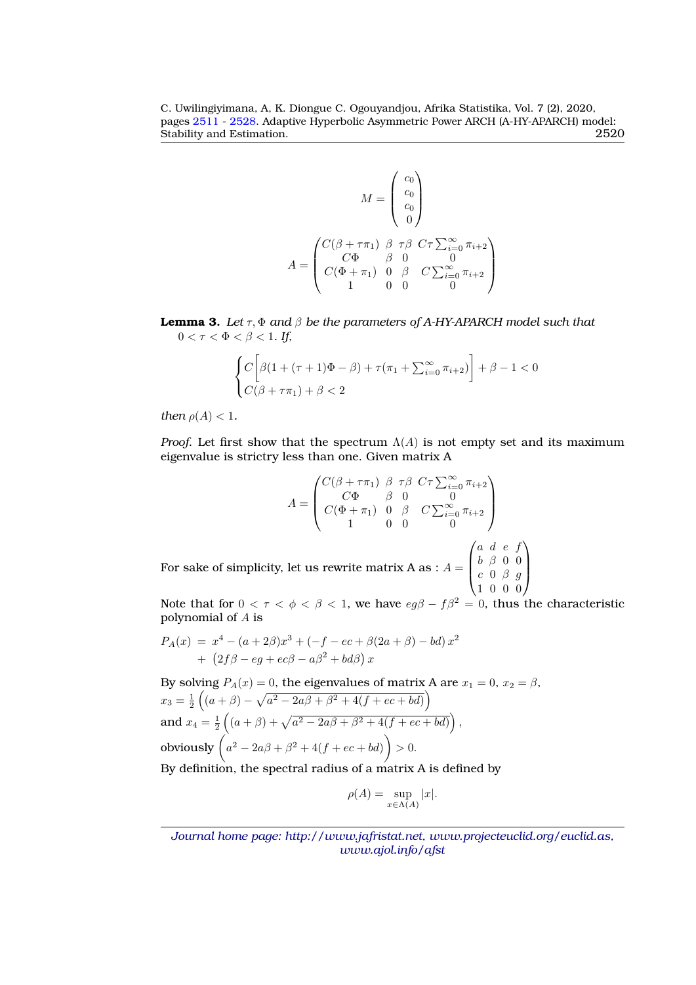C. Uwilingiyimana, A, K. Diongue C. Ogouyandjou, Afrika Statistika, Vol. 7 (2), 2020, pages [2511](#page-0-0) - [2528.](#page-16-0) Adaptive Hyperbolic Asymmetric Power ARCH (A-HY-APARCH) model:<br>Stability and Estimation. 2520 Stability and Estimation.

$$
M = \begin{pmatrix} c_0 \\ c_0 \\ c_0 \\ 0 \end{pmatrix}
$$

$$
A = \begin{pmatrix} C(\beta + \tau \pi_1) & \beta & \tau \beta & C\tau \sum_{i=0}^{\infty} \pi_{i+2} \\ C\Phi & \beta & 0 & 0 \\ C(\Phi + \pi_1) & 0 & \beta & C \sum_{i=0}^{\infty} \pi_{i+2} \\ 1 & 0 & 0 & 0 \end{pmatrix}
$$

<span id="page-9-0"></span>**Lemma 3.** Let  $\tau$ ,  $\Phi$  and  $\beta$  be the parameters of A-HY-APARCH model such that  $0 < \tau < \Phi < \beta < 1$ . If,

$$
\begin{cases} C\bigg[\beta(1+(\tau+1)\Phi-\beta)+\tau(\pi_1+\sum_{i=0}^{\infty}\pi_{i+2})\bigg]+\beta-1<0\\ C(\beta+\tau\pi_1)+\beta<2 \end{cases}
$$

*then*  $\rho(A) < 1$ *.* 

*Proof.* Let first show that the spectrum  $\Lambda(A)$  is not empty set and its maximum eigenvalue is strictry less than one. Given matrix A

$$
A = \begin{pmatrix} C(\beta + \tau \pi_1) & \beta & \tau \beta & C\tau \sum_{i=0}^{\infty} \pi_{i+2} \\ C\Phi & \beta & 0 & 0 \\ C(\Phi + \pi_1) & 0 & \beta & C \sum_{i=0}^{\infty} \pi_{i+2} \\ 1 & 0 & 0 & 0 \end{pmatrix}
$$
  
For sake of simplicity, let us rewrite matrix A as :  $A = \begin{pmatrix} a & d & e & f \\ b & \beta & 0 & 0 \\ c & 0 & \beta & g \\ 1 & 0 & 0 & 0 \end{pmatrix}$ 

Note that for  $0 < \tau < \phi < \beta < 1$ , we have  $eg\beta - f\beta^2 = 0$ , thus the characteristic polynomial of A is

$$
P_A(x) = x^4 - (a+2\beta)x^3 + (-f - ec + \beta(2a + \beta) - bd)x^2 + (2f\beta - eg + ec\beta - a\beta^2 + bd\beta)x
$$

By solving  $P_A(x) = 0$ , the eigenvalues of matrix A are  $x_1 = 0$ ,  $x_2 = \beta$ ,  $x_3 = \frac{1}{2} \left( (a + \beta) - \sqrt{a^2 - 2a\beta + \beta^2 + 4(f + ec + bd)} \right)$ and  $x_4 = \frac{1}{2} \left( (a + \beta) + \sqrt{a^2 - 2a\beta + \beta^2 + 4(f + ec + bd)} \right)$ , obviously  $\left(a^2 - 2a\beta + \beta^2 + 4(f + ec + bd)\right) > 0.$ By definition, the spectral radius of a matrix A is defined by

$$
\rho(A) = \sup_{x \in \Lambda(A)} |x|.
$$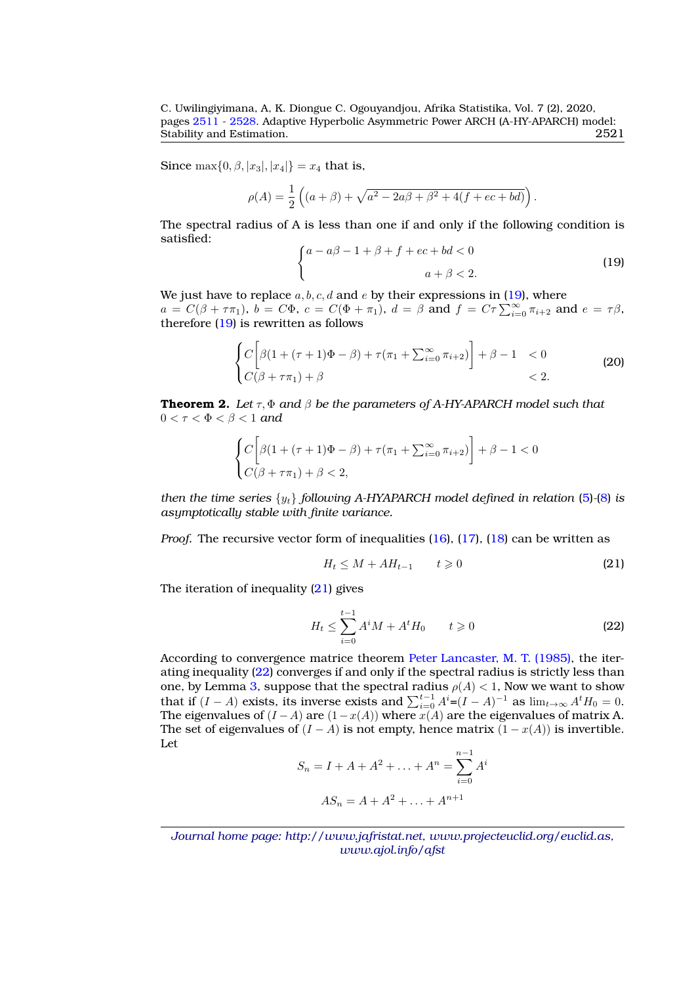Since  $\max\{0, \beta, |x_3|, |x_4|\} = x_4$  that is,

$$
\rho(A) = \frac{1}{2} \left( (a + \beta) + \sqrt{a^2 - 2a\beta + \beta^2 + 4(f + ec + bd)} \right).
$$

The spectral radius of A is less than one if and only if the following condition is satisfied:

<span id="page-10-0"></span>
$$
\begin{cases}\na - a\beta - 1 + \beta + f + ec + bd < 0 \\
a + \beta < 2.\n\end{cases}\n\tag{19}
$$

We just have to replace  $a, b, c, d$  and e by their expressions in [\(19\)](#page-10-0), where  $a = C(\beta + \tau \pi_1)$ ,  $b = C\Phi$ ,  $c = C(\Phi + \pi_1)$ ,  $d = \beta$  and  $f = C\tau \sum_{i=0}^{\infty} \pi_{i+2}$  and  $e = \tau \beta$ , therefore [\(19\)](#page-10-0) is rewritten as follows

$$
\begin{cases} C\bigg[\beta(1+(\tau+1)\Phi-\beta)+\tau(\pi_1+\sum_{i=0}^{\infty}\pi_{i+2})\bigg]+\beta-1 < 0\\ C(\beta+\tau\pi_1)+\beta < 2. \end{cases} \tag{20}
$$

**Theorem 2.** *Let* τ, Φ *and* β *be the parameters of A-HY-APARCH model such that*  $0 < \tau < \Phi < \beta < 1$  and

$$
\begin{cases} C\bigg[\beta(1+(\tau+1)\Phi-\beta)+\tau(\pi_1+\sum_{i=0}^{\infty}\pi_{i+2})\bigg]+\beta-1<0\\ C(\beta+\tau\pi_1)+\beta<2, \end{cases}
$$

*then the time series* {yt} *following A-HYAPARCH model defined in relation* [\(5\)](#page-4-1)*-*[\(8\)](#page-5-2) *is asymptotically stable with finite variance.*

*Proof.* The recursive vector form of inequalities [\(16\)](#page-8-1), [\(17\)](#page-8-2), [\(18\)](#page-8-3) can be written as

<span id="page-10-1"></span>
$$
H_t \le M + AH_{t-1} \qquad t \ge 0 \tag{21}
$$

The iteration of inequality  $(21)$  gives

<span id="page-10-2"></span>
$$
H_t \le \sum_{i=0}^{t-1} A^i M + A^t H_0 \qquad t \ge 0 \tag{22}
$$

According to convergence matrice theorem [Peter Lancaster, M. T. \(1985\),](#page-17-17) the iterating inequality [\(22\)](#page-10-2) converges if and only if the spectral radius is strictly less than one, by Lemma [3,](#page-9-0) suppose that the spectral radius  $\rho(A) < 1$ , Now we want to show that if  $(I - A)$  exists, its inverse exists and  $\sum_{i=0}^{t-1} A^i = (I - A)^{-1}$  as  $\lim_{t \to \infty} A^t H_0 = 0$ . The eigenvalues of  $(I - A)$  are  $(1 - x(A))$  where  $x(A)$  are the eigenvalues of matrix A. The set of eigenvalues of  $(I - A)$  is not empty, hence matrix  $(1 - x(A))$  is invertible. Let

$$
S_n = I + A + A^2 + \dots + A^n = \sum_{i=0}^{n-1} A^i
$$

$$
AS_n = A + A^2 + \dots + A^{n+1}
$$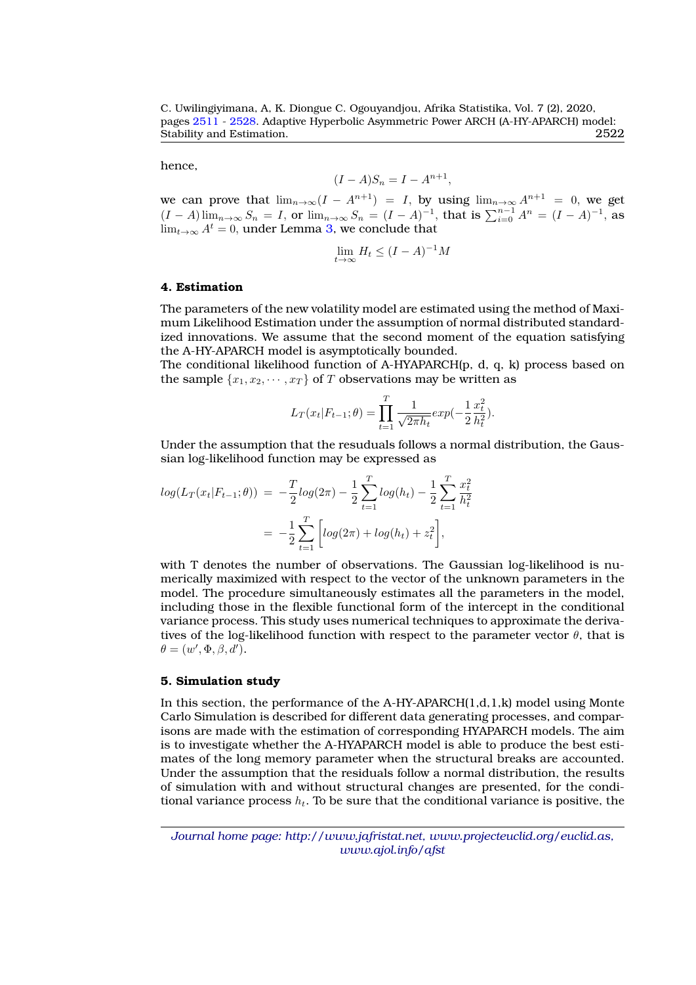hence,

$$
(I - A)S_n = I - A^{n+1},
$$

we can prove that  $\lim_{n\to\infty}(I - A^{n+1}) = I$ , by using  $\lim_{n\to\infty} A^{n+1} = 0$ , we get  $(I - A) \lim_{n \to \infty} S_n = I$ , or  $\lim_{n \to \infty} S_n = (I - A)^{-1}$ , that is  $\sum_{i=0}^{n-1} A^n = (I - A)^{-1}$ , as  $\lim_{t\to\infty} A^t = 0$ , under Lemma [3,](#page-9-0) we conclude that

$$
\lim_{t \to \infty} H_t \le (I - A)^{-1} M
$$

#### <span id="page-11-0"></span>**4. Estimation**

The parameters of the new volatility model are estimated using the method of Maximum Likelihood Estimation under the assumption of normal distributed standardized innovations. We assume that the second moment of the equation satisfying the A-HY-APARCH model is asymptotically bounded.

The conditional likelihood function of A-HYAPARCH(p, d, q, k) process based on the sample  $\{x_1, x_2, \dots, x_T\}$  of T observations may be written as

$$
L_T(x_t|F_{t-1};\theta) = \prod_{t=1}^T \frac{1}{\sqrt{2\pi h_t}} exp(-\frac{1}{2}\frac{x_t^2}{h_t^2}).
$$

Under the assumption that the resuduals follows a normal distribution, the Gaussian log-likelihood function may be expressed as

$$
log(L_T(x_t|F_{t-1};\theta)) = -\frac{T}{2}log(2\pi) - \frac{1}{2}\sum_{t=1}^T log(h_t) - \frac{1}{2}\sum_{t=1}^T \frac{x_t^2}{h_t^2}
$$

$$
= -\frac{1}{2}\sum_{t=1}^T \left[log(2\pi) + log(h_t) + z_t^2\right],
$$

with T denotes the number of observations. The Gaussian log-likelihood is numerically maximized with respect to the vector of the unknown parameters in the model. The procedure simultaneously estimates all the parameters in the model, including those in the flexible functional form of the intercept in the conditional variance process. This study uses numerical techniques to approximate the derivatives of the log-likelihood function with respect to the parameter vector  $\theta$ , that is  $\theta = (w', \Phi, \beta, d').$ 

#### <span id="page-11-1"></span>**5. Simulation study**

In this section, the performance of the A-HY-APARCH $(1,d,1,k)$  model using Monte Carlo Simulation is described for different data generating processes, and comparisons are made with the estimation of corresponding HYAPARCH models. The aim is to investigate whether the A-HYAPARCH model is able to produce the best estimates of the long memory parameter when the structural breaks are accounted. Under the assumption that the residuals follow a normal distribution, the results of simulation with and without structural changes are presented, for the conditional variance process  $h_t$ . To be sure that the conditional variance is positive, the

*Journal home page: http://www.jafristat.net, www.projecteuclid.org/euclid.as, www.ajol.info/afst*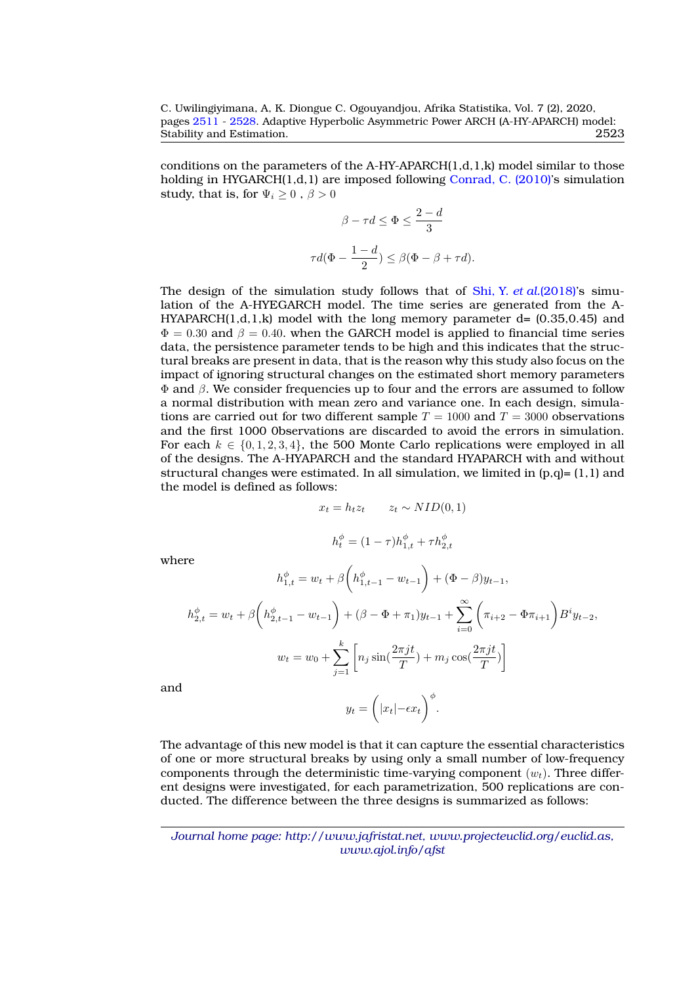conditions on the parameters of the A-HY-APARCH $(1,d,1,k)$  model similar to those holding in HYGARCH(1,d,1) are imposed following [Conrad, C. \(2010\)'](#page-16-6)s simulation study, that is, for  $\Psi_i \geq 0$ ,  $\beta > 0$ 

$$
\beta - \tau d \le \Phi \le \frac{2 - d}{3}
$$

$$
\tau d(\Phi - \frac{1 - d}{2}) \le \beta(\Phi - \beta + \tau d).
$$

The design of the simulation study follows that of Shi, Y. *et al.*[\(2018\)'](#page-17-8)s simulation of the A-HYEGARCH model. The time series are generated from the A-HYAPARCH $(1,d,1,k)$  model with the long memory parameter d=  $(0.35,0.45)$  and  $\Phi = 0.30$  and  $\beta = 0.40$ . when the GARCH model is applied to financial time series data, the persistence parameter tends to be high and this indicates that the structural breaks are present in data, that is the reason why this study also focus on the impact of ignoring structural changes on the estimated short memory parameters  $Φ$  and  $β$ . We consider frequencies up to four and the errors are assumed to follow a normal distribution with mean zero and variance one. In each design, simulations are carried out for two different sample  $T = 1000$  and  $T = 3000$  observations and the first 1000 0bservations are discarded to avoid the errors in simulation. For each  $k \in \{0, 1, 2, 3, 4\}$ , the 500 Monte Carlo replications were employed in all of the designs. The A-HYAPARCH and the standard HYAPARCH with and without structural changes were estimated. In all simulation, we limited in  $(p,q)=(1,1)$  and the model is defined as follows:

$$
x_t = h_t z_t \qquad z_t \sim NID(0, 1)
$$

$$
h_t^{\phi} = (1 - \tau)h_{1,t}^{\phi} + \tau h_{2,t}^{\phi}
$$

where

$$
h_{1,t}^{\phi} = w_t + \beta \left( h_{1,t-1}^{\phi} - w_{t-1} \right) + (\Phi - \beta) y_{t-1},
$$
  

$$
h_{2,t}^{\phi} = w_t + \beta \left( h_{2,t-1}^{\phi} - w_{t-1} \right) + (\beta - \Phi + \pi_1) y_{t-1} + \sum_{i=0}^{\infty} \left( \pi_{i+2} - \Phi \pi_{i+1} \right) B^i y_{t-2},
$$
  

$$
w_t = w_0 + \sum_{j=1}^k \left[ n_j \sin(\frac{2\pi j t}{T}) + m_j \cos(\frac{2\pi j t}{T}) \right]
$$

and

$$
y_t = \left(|x_t| - \epsilon x_t\right)^{\phi}.
$$

The advantage of this new model is that it can capture the essential characteristics of one or more structural breaks by using only a small number of low-frequency components through the deterministic time-varying component  $(w_t)$ . Three different designs were investigated, for each parametrization, 500 replications are conducted. The difference between the three designs is summarized as follows: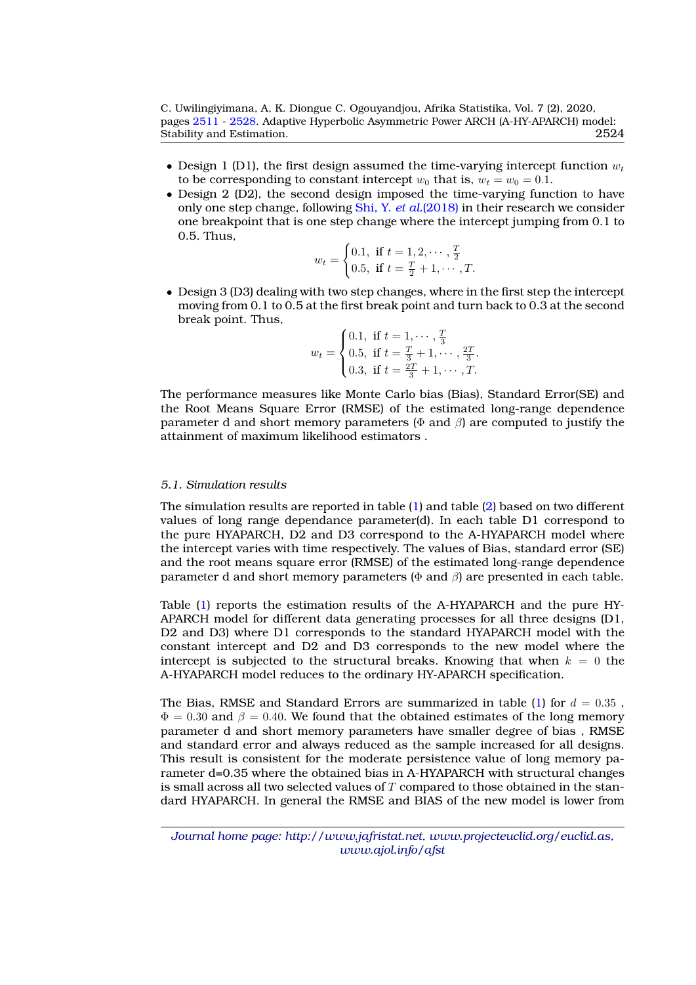- Design 1 (D1), the first design assumed the time-varying intercept function  $w_t$ to be corresponding to constant intercept  $w_0$  that is,  $w_t = w_0 = 0.1$ .
- Design 2 (D2), the second design imposed the time-varying function to have only one step change, following [Shi, Y.](#page-17-8) *et al.*(2018) in their research we consider one breakpoint that is one step change where the intercept jumping from 0.1 to 0.5. Thus,

$$
w_t = \begin{cases} 0.1, & \text{if } t = 1, 2, \cdots, \frac{T}{2} \\ 0.5, & \text{if } t = \frac{T}{2} + 1, \cdots, T. \end{cases}
$$

• Design 3 (D3) dealing with two step changes, where in the first step the intercept moving from 0.1 to 0.5 at the first break point and turn back to 0.3 at the second break point. Thus,

$$
w_t = \begin{cases} 0.1, & \text{if } t = 1, \dots, \frac{T}{3} \\ 0.5, & \text{if } t = \frac{T}{3} + 1, \dots, \frac{2T}{3} \\ 0.3, & \text{if } t = \frac{2T}{3} + 1, \dots, T. \end{cases}
$$

The performance measures like Monte Carlo bias (Bias), Standard Error(SE) and the Root Means Square Error (RMSE) of the estimated long-range dependence parameter d and short memory parameters ( $\Phi$  and  $\beta$ ) are computed to justify the attainment of maximum likelihood estimators .

#### *5.1. Simulation results*

The simulation results are reported in table [\(1\)](#page-14-0) and table [\(2\)](#page-15-1) based on two different values of long range dependance parameter(d). In each table D1 correspond to the pure HYAPARCH, D2 and D3 correspond to the A-HYAPARCH model where the intercept varies with time respectively. The values of Bias, standard error (SE) and the root means square error (RMSE) of the estimated long-range dependence parameter d and short memory parameters ( $\Phi$  and  $\beta$ ) are presented in each table.

Table [\(1\)](#page-14-0) reports the estimation results of the A-HYAPARCH and the pure HY-APARCH model for different data generating processes for all three designs (D1, D2 and D3) where D1 corresponds to the standard HYAPARCH model with the constant intercept and D2 and D3 corresponds to the new model where the intercept is subjected to the structural breaks. Knowing that when  $k = 0$  the A-HYAPARCH model reduces to the ordinary HY-APARCH specification.

The Bias, RMSE and Standard Errors are summarized in table [\(1\)](#page-14-0) for  $d = 0.35$ ,  $\Phi = 0.30$  and  $\beta = 0.40$ . We found that the obtained estimates of the long memory parameter d and short memory parameters have smaller degree of bias , RMSE and standard error and always reduced as the sample increased for all designs. This result is consistent for the moderate persistence value of long memory parameter d=0.35 where the obtained bias in A-HYAPARCH with structural changes is small across all two selected values of  $T$  compared to those obtained in the standard HYAPARCH. In general the RMSE and BIAS of the new model is lower from

*Journal home page: http://www.jafristat.net, www.projecteuclid.org/euclid.as, www.ajol.info/afst*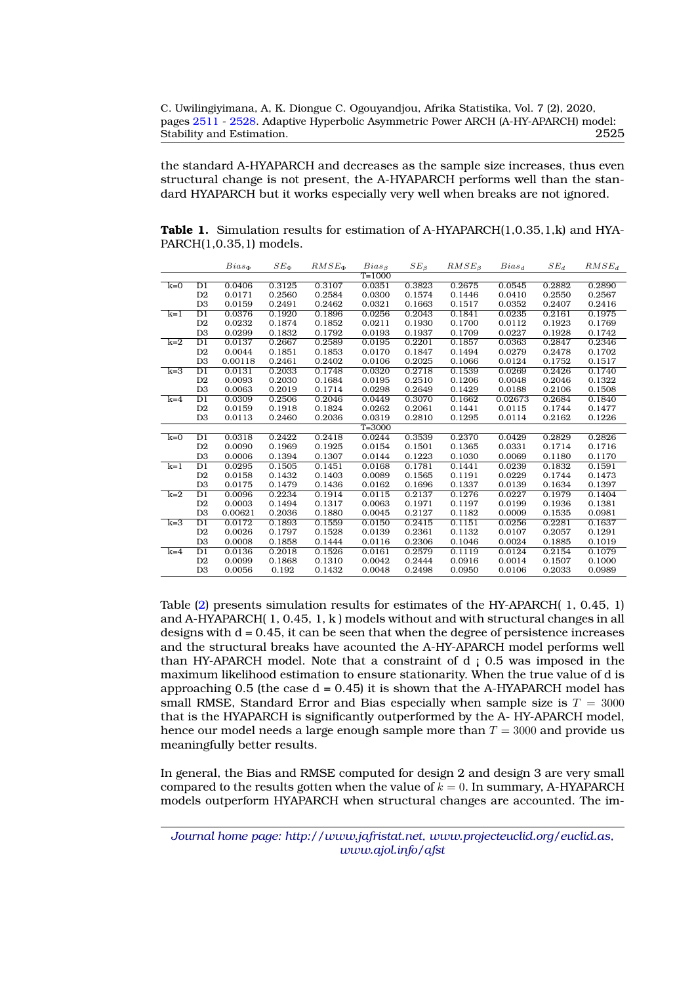the standard A-HYAPARCH and decreases as the sample size increases, thus even structural change is not present, the A-HYAPARCH performs well than the standard HYAPARCH but it works especially very well when breaks are not ignored.

<span id="page-14-0"></span>**Table 1.** Simulation results for estimation of A-HYAPARCH(1,0.35,1,k) and HYA-PARCH(1,0.35,1) models.

|       |                 | $Bias_{\Phi}$ | $SE_{\Phi}$ | $RMSE_{\Phi}$ | $Bias_B$   | $SE_{\beta}$ | $RMSE\beta$ | $Bias_d$ | $SE_d$ | RMSE <sub>d</sub> |
|-------|-----------------|---------------|-------------|---------------|------------|--------------|-------------|----------|--------|-------------------|
|       |                 |               |             |               | $T = 1000$ |              |             |          |        |                   |
| $k=0$ | D <sub>1</sub>  | 0.0406        | 0.3125      | 0.3107        | 0.0351     | 0.3823       | 0.2675      | 0.0545   | 0.2882 | 0.2890            |
|       | D2              | 0.0171        | 0.2560      | 0.2584        | 0.0300     | 0.1574       | 0.1446      | 0.0410   | 0.2550 | 0.2567            |
|       | D <sub>3</sub>  | 0.0159        | 0.2491      | 0.2462        | 0.0321     | 0.1663       | 0.1517      | 0.0352   | 0.2407 | 0.2416            |
| $k=1$ | $\overline{D1}$ | 0.0376        | 0.1920      | 0.1896        | 0.0256     | 0.2043       | 0.1841      | 0.0235   | 0.2161 | 0.1975            |
|       | D2              | 0.0232        | 0.1874      | 0.1852        | 0.0211     | 0.1930       | 0.1700      | 0.0112   | 0.1923 | 0.1769            |
|       | D <sub>3</sub>  | 0.0299        | 0.1832      | 0.1792        | 0.0193     | 0.1937       | 0.1709      | 0.0227   | 0.1928 | 0.1742            |
| $k=2$ | $\overline{D1}$ | 0.0137        | 0.2667      | 0.2589        | 0.0195     | 0.2201       | 0.1857      | 0.0363   | 0.2847 | 0.2346            |
|       | D2              | 0.0044        | 0.1851      | 0.1853        | 0.0170     | 0.1847       | 0.1494      | 0.0279   | 0.2478 | 0.1702            |
|       | D <sub>3</sub>  | 0.00118       | 0.2461      | 0.2402        | 0.0106     | 0.2025       | 0.1066      | 0.0124   | 0.1752 | 0.1517            |
| $k=3$ | $\overline{D1}$ | 0.0131        | 0.2033      | 0.1748        | 0.0320     | 0.2718       | 0.1539      | 0.0269   | 0.2426 | 0.1740            |
|       | D2              | 0.0093        | 0.2030      | 0.1684        | 0.0195     | 0.2510       | 0.1206      | 0.0048   | 0.2046 | 0.1322            |
|       | D <sub>3</sub>  | 0.0063        | 0.2019      | 0.1714        | 0.0298     | 0.2649       | 0.1429      | 0.0188   | 0.2106 | 0.1508            |
| $k=4$ | $\overline{D1}$ | 0.0309        | 0.2506      | 0.2046        | 0.0449     | 0.3070       | 0.1662      | 0.02673  | 0.2684 | 0.1840            |
|       | D2              | 0.0159        | 0.1918      | 0.1824        | 0.0262     | 0.2061       | 0.1441      | 0.0115   | 0.1744 | 0.1477            |
|       | D <sub>3</sub>  | 0.0113        | 0.2460      | 0.2036        | 0.0319     | 0.2810       | 0.1295      | 0.0114   | 0.2162 | 0.1226            |
|       |                 |               |             |               | $T = 3000$ |              |             |          |        |                   |
| $k=0$ | $\overline{D1}$ | 0.0318        | 0.2422      | 0.2418        | 0.0244     | 0.3539       | 0.2370      | 0.0429   | 0.2829 | 0.2826            |
|       | D <sub>2</sub>  | 0.0090        | 0.1969      | 0.1925        | 0.0154     | 0.1501       | 0.1365      | 0.0331   | 0.1714 | 0.1716            |
|       | D <sub>3</sub>  | 0.0006        | 0.1394      | 0.1307        | 0.0144     | 0.1223       | 0.1030      | 0.0069   | 0.1180 | 0.1170            |
| $k=1$ | $\overline{D1}$ | 0.0295        | 0.1505      | 0.1451        | 0.0168     | 0.1781       | 0.1441      | 0.0239   | 0.1832 | 0.1591            |
|       | D2              | 0.0158        | 0.1432      | 0.1403        | 0.0089     | 0.1565       | 0.1191      | 0.0229   | 0.1744 | 0.1473            |
|       | D <sub>3</sub>  | 0.0175        | 0.1479      | 0.1436        | 0.0162     | 0.1696       | 0.1337      | 0.0139   | 0.1634 | 0.1397            |
| $k=2$ | $\overline{D1}$ | 0.0096        | 0.2234      | 0.1914        | 0.0115     | 0.2137       | 0.1276      | 0.0227   | 0.1979 | 0.1404            |
|       | D2              | 0.0003        | 0.1494      | 0.1317        | 0.0063     | 0.1971       | 0.1197      | 0.0199   | 0.1936 | 0.1381            |
|       | D <sub>3</sub>  | 0.00621       | 0.2036      | 0.1880        | 0.0045     | 0.2127       | 0.1182      | 0.0009   | 0.1535 | 0.0981            |
| $k=3$ | $\overline{D1}$ | 0.0172        | 0.1893      | 0.1559        | 0.0150     | 0.2415       | 0.1151      | 0.0256   | 0.2281 | 0.1637            |
|       | D2              | 0.0026        | 0.1797      | 0.1528        | 0.0139     | 0.2361       | 0.1132      | 0.0107   | 0.2057 | 0.1291            |
|       | D <sub>3</sub>  | 0.0008        | 0.1858      | 0.1444        | 0.0116     | 0.2306       | 0.1046      | 0.0024   | 0.1885 | 0.1019            |
| $k=4$ | $\overline{D1}$ | 0.0136        | 0.2018      | 0.1526        | 0.0161     | 0.2579       | 0.1119      | 0.0124   | 0.2154 | 0.1079            |
|       | D <sub>2</sub>  | 0.0099        | 0.1868      | 0.1310        | 0.0042     | 0.2444       | 0.0916      | 0.0014   | 0.1507 | 0.1000            |
|       | D <sub>3</sub>  | 0.0056        | 0.192       | 0.1432        | 0.0048     | 0.2498       | 0.0950      | 0.0106   | 0.2033 | 0.0989            |

Table [\(2\)](#page-15-1) presents simulation results for estimates of the HY-APARCH( 1, 0.45, 1) and A-HYAPARCH( 1, 0.45, 1, k ) models without and with structural changes in all designs with  $d = 0.45$ , it can be seen that when the degree of persistence increases and the structural breaks have acounted the A-HY-APARCH model performs well than HY-APARCH model. Note that a constraint of  $d_i$  0.5 was imposed in the maximum likelihood estimation to ensure stationarity. When the true value of d is approaching 0.5 (the case  $d = 0.45$ ) it is shown that the A-HYAPARCH model has small RMSE, Standard Error and Bias especially when sample size is  $T = 3000$ that is the HYAPARCH is significantly outperformed by the A- HY-APARCH model, hence our model needs a large enough sample more than  $T = 3000$  and provide us meaningfully better results.

In general, the Bias and RMSE computed for design 2 and design 3 are very small compared to the results gotten when the value of  $k = 0$ . In summary, A-HYAPARCH models outperform HYAPARCH when structural changes are accounted. The im-

*Journal home page: http://www.jafristat.net, www.projecteuclid.org/euclid.as, www.ajol.info/afst*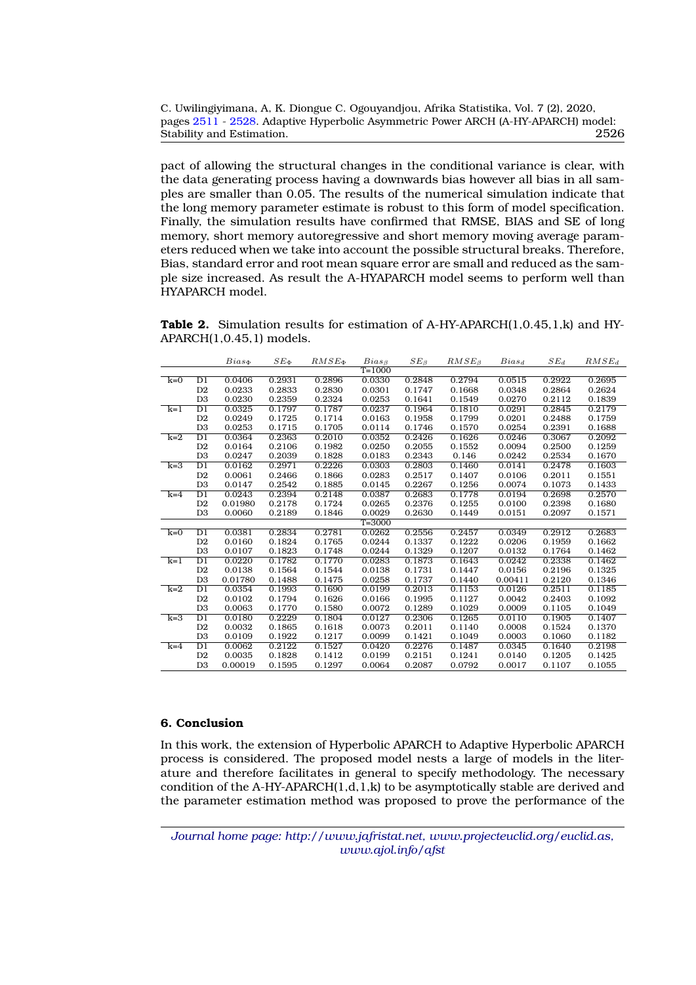| C. Uwilingiyimana, A, K. Diongue C. Ogouyandjou, Afrika Statistika, Vol. 7 (2), 2020, |      |
|---------------------------------------------------------------------------------------|------|
| pages 2511 - 2528. Adaptive Hyperbolic Asymmetric Power ARCH (A-HY-APARCH) model:     |      |
| Stability and Estimation.                                                             | 2526 |

pact of allowing the structural changes in the conditional variance is clear, with the data generating process having a downwards bias however all bias in all samples are smaller than 0.05. The results of the numerical simulation indicate that the long memory parameter estimate is robust to this form of model specification. Finally, the simulation results have confirmed that RMSE, BIAS and SE of long memory, short memory autoregressive and short memory moving average parameters reduced when we take into account the possible structural breaks. Therefore, Bias, standard error and root mean square error are small and reduced as the sample size increased. As result the A-HYAPARCH model seems to perform well than HYAPARCH model.

<span id="page-15-1"></span>**Table 2.** Simulation results for estimation of A-HY-APARCH(1,0.45,1,k) and HY-APARCH(1,0.45,1) models.

|       |                 | $Bias_{\Phi}$ | $SE_{\Phi}$ | $RMSE_{\Phi}$ | $Bias_B$   | $SE_{\beta}$ | $RMSE_B$ | $Bias_d$ | $SE_d$ | $RMSE_d$ |
|-------|-----------------|---------------|-------------|---------------|------------|--------------|----------|----------|--------|----------|
|       |                 |               |             |               | $T = 1000$ |              |          |          |        |          |
| $k=0$ | D1              | 0.0406        | 0.2931      | 0.2896        | 0.0330     | 0.2848       | 0.2794   | 0.0515   | 0.2922 | 0.2695   |
|       | D <sub>2</sub>  | 0.0233        | 0.2833      | 0.2830        | 0.0301     | 0.1747       | 0.1668   | 0.0348   | 0.2864 | 0.2624   |
|       | D <sub>3</sub>  | 0.0230        | 0.2359      | 0.2324        | 0.0253     | 0.1641       | 0.1549   | 0.0270   | 0.2112 | 0.1839   |
| $k=1$ | $\overline{D1}$ | 0.0325        | 0.1797      | 0.1787        | 0.0237     | 0.1964       | 0.1810   | 0.0291   | 0.2845 | 0.2179   |
|       | D2              | 0.0249        | 0.1725      | 0.1714        | 0.0163     | 0.1958       | 0.1799   | 0.0201   | 0.2488 | 0.1759   |
|       | D <sub>3</sub>  | 0.0253        | 0.1715      | 0.1705        | 0.0114     | 0.1746       | 0.1570   | 0.0254   | 0.2391 | 0.1688   |
| $k=2$ | $\overline{D1}$ | 0.0364        | 0.2363      | 0.2010        | 0.0352     | 0.2426       | 0.1626   | 0.0246   | 0.3067 | 0.2092   |
|       | D <sub>2</sub>  | 0.0164        | 0.2106      | 0.1982        | 0.0250     | 0.2055       | 0.1552   | 0.0094   | 0.2500 | 0.1259   |
|       | D <sub>3</sub>  | 0.0247        | 0.2039      | 0.1828        | 0.0183     | 0.2343       | 0.146    | 0.0242   | 0.2534 | 0.1670   |
| $k=3$ | $\overline{D1}$ | 0.0162        | 0.2971      | 0.2226        | 0.0303     | 0.2803       | 0.1460   | 0.0141   | 0.2478 | 0.1603   |
|       | D <sub>2</sub>  | 0.0061        | 0.2466      | 0.1866        | 0.0283     | 0.2517       | 0.1407   | 0.0106   | 0.2011 | 0.1551   |
|       | D <sub>3</sub>  | 0.0147        | 0.2542      | 0.1885        | 0.0145     | 0.2267       | 0.1256   | 0.0074   | 0.1073 | 0.1433   |
| $k=4$ | $\overline{D1}$ | 0.0243        | 0.2394      | 0.2148        | 0.0387     | 0.2683       | 0.1778   | 0.0194   | 0.2698 | 0.2570   |
|       | D <sub>2</sub>  | 0.01980       | 0.2178      | 0.1724        | 0.0265     | 0.2376       | 0.1255   | 0.0100   | 0.2398 | 0.1680   |
|       | D <sub>3</sub>  | 0.0060        | 0.2189      | 0.1846        | 0.0029     | 0.2630       | 0.1449   | 0.0151   | 0.2097 | 0.1571   |
|       |                 |               |             |               | $T = 3000$ |              |          |          |        |          |
| $k=0$ | D1              | 0.0381        | 0.2834      | 0.2781        | 0.0262     | 0.2556       | 0.2457   | 0.0349   | 0.2912 | 0.2683   |
|       | D <sub>2</sub>  | 0.0160        | 0.1824      | 0.1765        | 0.0244     | 0.1337       | 0.1222   | 0.0206   | 0.1959 | 0.1662   |
|       | D <sub>3</sub>  | 0.0107        | 0.1823      | 0.1748        | 0.0244     | 0.1329       | 0.1207   | 0.0132   | 0.1764 | 0.1462   |
| $k=1$ | D1              | 0.0220        | 0.1782      | 0.1770        | 0.0283     | 0.1873       | 0.1643   | 0.0242   | 0.2338 | 0.1462   |
|       | D <sub>2</sub>  | 0.0138        | 0.1564      | 0.1544        | 0.0138     | 0.1731       | 0.1447   | 0.0156   | 0.2196 | 0.1325   |
|       | D <sub>3</sub>  | 0.01780       | 0.1488      | 0.1475        | 0.0258     | 0.1737       | 0.1440   | 0.00411  | 0.2120 | 0.1346   |
| $k=2$ | D1              | 0.0354        | 0.1993      | 0.1690        | 0.0199     | 0.2013       | 0.1153   | 0.0126   | 0.2511 | 0.1185   |
|       | D <sub>2</sub>  | 0.0102        | 0.1794      | 0.1626        | 0.0166     | 0.1995       | 0.1127   | 0.0042   | 0.2403 | 0.1092   |
|       | D <sub>3</sub>  | 0.0063        | 0.1770      | 0.1580        | 0.0072     | 0.1289       | 0.1029   | 0.0009   | 0.1105 | 0.1049   |
| $k=3$ | $\overline{D1}$ | 0.0180        | 0.2229      | 0.1804        | 0.0127     | 0.2306       | 0.1265   | 0.0110   | 0.1905 | 0.1407   |
|       | D <sub>2</sub>  | 0.0032        | 0.1865      | 0.1618        | 0.0073     | 0.2011       | 0.1140   | 0.0008   | 0.1524 | 0.1370   |
|       | D <sub>3</sub>  | 0.0109        | 0.1922      | 0.1217        | 0.0099     | 0.1421       | 0.1049   | 0.0003   | 0.1060 | 0.1182   |
| $k=4$ | D1              | 0.0062        | 0.2122      | 0.1527        | 0.0420     | 0.2276       | 0.1487   | 0.0345   | 0.1640 | 0.2198   |
|       | D <sub>2</sub>  | 0.0035        | 0.1828      | 0.1412        | 0.0199     | 0.2151       | 0.1241   | 0.0140   | 0.1205 | 0.1425   |
|       | D <sub>3</sub>  | 0.00019       | 0.1595      | 0.1297        | 0.0064     | 0.2087       | 0.0792   | 0.0017   | 0.1107 | 0.1055   |

# <span id="page-15-0"></span>**6. Conclusion**

In this work, the extension of Hyperbolic APARCH to Adaptive Hyperbolic APARCH process is considered. The proposed model nests a large of models in the literature and therefore facilitates in general to specify methodology. The necessary condition of the A-HY-APARCH(1,d,1,k) to be asymptotically stable are derived and the parameter estimation method was proposed to prove the performance of the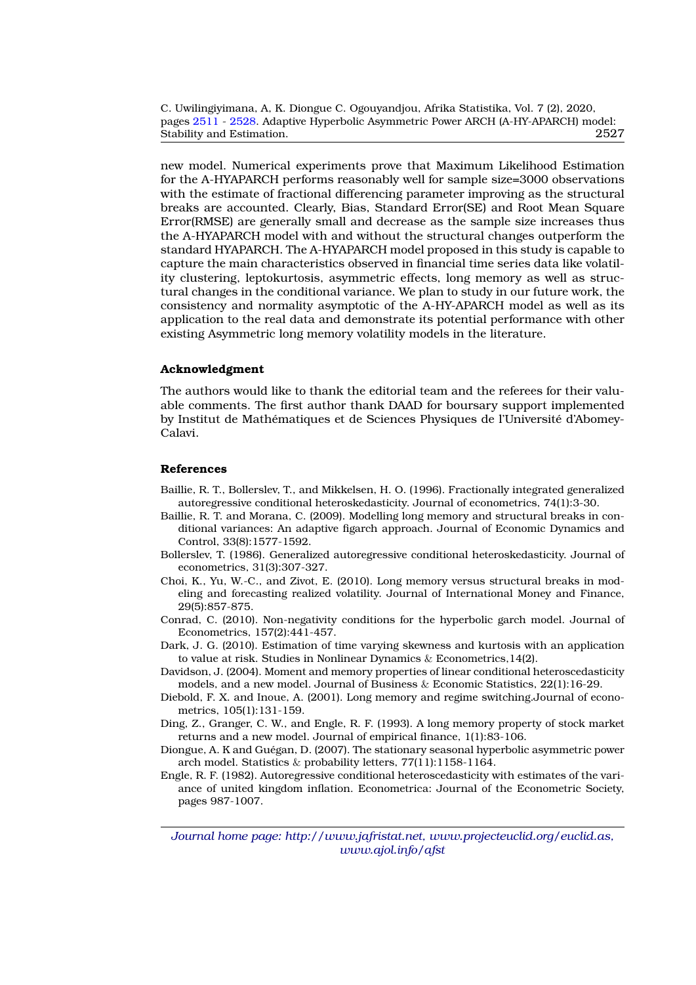new model. Numerical experiments prove that Maximum Likelihood Estimation for the A-HYAPARCH performs reasonably well for sample size=3000 observations with the estimate of fractional differencing parameter improving as the structural breaks are accounted. Clearly, Bias, Standard Error(SE) and Root Mean Square Error(RMSE) are generally small and decrease as the sample size increases thus the A-HYAPARCH model with and without the structural changes outperform the standard HYAPARCH. The A-HYAPARCH model proposed in this study is capable to capture the main characteristics observed in financial time series data like volatility clustering, leptokurtosis, asymmetric effects, long memory as well as structural changes in the conditional variance. We plan to study in our future work, the consistency and normality asymptotic of the A-HY-APARCH model as well as its application to the real data and demonstrate its potential performance with other existing Asymmetric long memory volatility models in the literature.

#### **Acknowledgment**

The authors would like to thank the editorial team and the referees for their valuable comments. The first author thank DAAD for boursary support implemented by Institut de Mathématiques et de Sciences Physiques de l'Université d'Abomey-Calavi.

#### <span id="page-16-0"></span>**References**

- <span id="page-16-4"></span>Baillie, R. T., Bollerslev, T., and Mikkelsen, H. O. (1996). Fractionally integrated generalized autoregressive conditional heteroskedasticity. Journal of econometrics, 74(1):3-30.
- <span id="page-16-10"></span>Baillie, R. T. and Morana, C. (2009). Modelling long memory and structural breaks in conditional variances: An adaptive figarch approach. Journal of Economic Dynamics and Control, 33(8):1577-1592.
- <span id="page-16-2"></span>Bollerslev, T. (1986). Generalized autoregressive conditional heteroskedasticity. Journal of econometrics, 31(3):307-327.
- <span id="page-16-11"></span>Choi, K., Yu, W.-C., and Zivot, E. (2010). Long memory versus structural breaks in modeling and forecasting realized volatility. Journal of International Money and Finance, 29(5):857-875.
- <span id="page-16-6"></span>Conrad, C. (2010). Non-negativity conditions for the hyperbolic garch model. Journal of Econometrics, 157(2):441-457.
- <span id="page-16-8"></span>Dark, J. G. (2010). Estimation of time varying skewness and kurtosis with an application to value at risk. Studies in Nonlinear Dynamics & Econometrics,14(2).
- <span id="page-16-5"></span>Davidson, J. (2004). Moment and memory properties of linear conditional heteroscedasticity models, and a new model. Journal of Business & Economic Statistics, 22(1):16-29.
- <span id="page-16-9"></span>Diebold, F. X. and Inoue, A. (2001). Long memory and regime switching.Journal of econometrics, 105(1):131-159.
- <span id="page-16-3"></span>Ding, Z., Granger, C. W., and Engle, R. F. (1993). A long memory property of stock market returns and a new model. Journal of empirical finance, 1(1):83-106.
- <span id="page-16-7"></span>Diongue, A. K and Guegan, D. (2007). The stationary seasonal hyperbolic asymmetric power ´ arch model. Statistics & probability letters, 77(11):1158-1164.
- <span id="page-16-1"></span>Engle, R. F. (1982). Autoregressive conditional heteroscedasticity with estimates of the variance of united kingdom inflation. Econometrica: Journal of the Econometric Society, pages 987-1007.